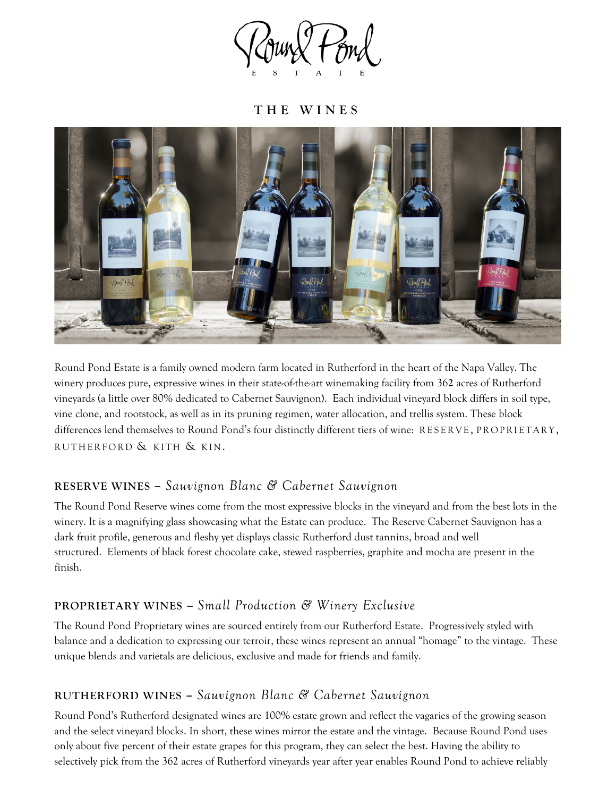

**THE WINES**



Round Pond Estate is a family owned modern farm located in Rutherford in the heart of the Napa Valley. The winery produces pure, expressive wines in their state-of-the-art winemaking facility from 36**2** acres of Rutherford vineyards (a little over 80% dedicated to Cabernet Sauvignon). Each individual vineyard block differs in soil type, vine clone, and rootstock, as well as in its pruning regimen, water allocation, and trellis system. These block differences lend themselves to Round Pond's four distinctly different tiers of wine: RESERVE, PROPRIETARY, RUTHERFORD & KITH & KIN.

## **RESERVE WINES –** *Sauvignon Blanc & Cabernet Sauvignon*

The Round Pond Reserve wines come from the most expressive blocks in the vineyard and from the best lots in the winery. It is a magnifying glass showcasing what the Estate can produce. The Reserve Cabernet Sauvignon has a dark fruit profile, generous and fleshy yet displays classic Rutherford dust tannins, broad and well structured. Elements of black forest chocolate cake, stewed raspberries, graphite and mocha are present in the finish.

## **PROPRIETARY WINES –** *Small Production & Winery Exclusive*

The Round Pond Proprietary wines are sourced entirely from our Rutherford Estate. Progressively styled with balance and a dedication to expressing our terroir, these wines represent an annual "homage" to the vintage. These unique blends and varietals are delicious, exclusive and made for friends and family.

## **RUTHERFORD WINES –** *Sauvignon Blanc & Cabernet Sauvignon*

Round Pond's Rutherford designated wines are 100% estate grown and reflect the vagaries of the growing season and the select vineyard blocks. In short, these wines mirror the estate and the vintage. Because Round Pond uses only about five percent of their estate grapes for this program, they can select the best. Having the ability to selectively pick from the 362 acres of Rutherford vineyards year after year enables Round Pond to achieve reliably